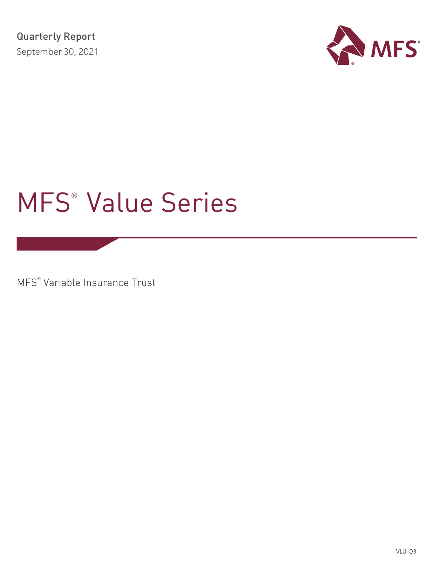

# MFS® Value Series

MFS® Variable Insurance Trust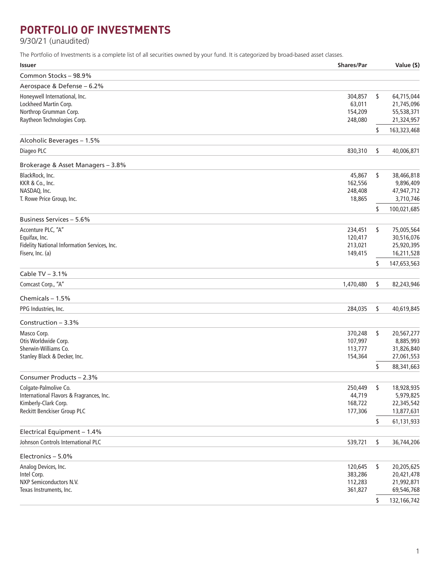## **PORTFOLIO OF INVESTMENTS**

9/30/21 (unaudited)

The Portfolio of Investments is a complete list of all securities owned by your fund. It is categorized by broad-based asset classes.

| Common Stocks - 98.9%<br>Aerospace & Defense - 6.2%<br>Honeywell International, Inc.<br>304,857<br>\$<br>64,715,044<br>Lockheed Martin Corp.<br>63,011<br>21,745,096<br>Northrop Grumman Corp.<br>154,209<br>55,538,371<br>Raytheon Technologies Corp.<br>21,324,957<br>248,080<br>\$<br>163,323,468<br>Alcoholic Beverages - 1.5%<br>Diageo PLC<br>830,310<br>\$<br>40,006,871<br>Brokerage & Asset Managers - 3.8%<br>BlackRock, Inc.<br>45,867<br>\$<br>38,466,818<br>KKR & Co., Inc.<br>162,556<br>9,896,409<br>NASDAQ, Inc.<br>248,408<br>47,947,712<br>T. Rowe Price Group, Inc.<br>18,865<br>3,710,746<br>100,021,685<br>\$<br>Business Services - 5.6%<br>Accenture PLC, "A"<br>234,451<br>\$<br>75,005,564<br>Equifax, Inc.<br>120,417<br>30,516,076<br>Fidelity National Information Services, Inc.<br>213,021<br>25,920,395<br>Fiserv, Inc. (a)<br>16,211,528<br>149,415<br>\$<br>147,653,563<br>Cable TV $-3.1%$<br>Comcast Corp., "A"<br>\$<br>1,470,480<br>82,243,946<br>Chemicals $-1.5%$<br>PPG Industries, Inc.<br>284,035<br>\$<br>40,619,845<br>Construction - 3.3%<br>Masco Corp.<br>\$<br>370,248<br>20,567,277<br>Otis Worldwide Corp.<br>107,997<br>8,885,993<br>Sherwin-Williams Co.<br>113,777<br>31,826,840<br>Stanley Black & Decker, Inc.<br>27,061,553<br>154,364<br>\$<br>88,341,663<br>Consumer Products - 2.3%<br>Colgate-Palmolive Co.<br>\$<br>250,449<br>18,928,935<br>44,719<br>5,979,825<br>International Flavors & Fragrances, Inc.<br>Kimberly-Clark Corp.<br>168,722<br>22,345,542<br>Reckitt Benckiser Group PLC<br>177,306<br>13,877,631<br>61,131,933<br>\$<br>Electrical Equipment - 1.4%<br>Johnson Controls International PLC<br>539,721<br>\$<br>36,744,206<br>Electronics - 5.0%<br>Analog Devices, Inc.<br>\$<br>120,645<br>20,205,625<br>Intel Corp.<br>383,286<br>20,421,478<br>NXP Semiconductors N.V.<br>112,283<br>21,992,871<br>Texas Instruments, Inc.<br>69,546,768<br>361,827<br>132,166,742<br>\$ | <b>Issuer</b> | <b>Shares/Par</b> | Value (\$) |
|--------------------------------------------------------------------------------------------------------------------------------------------------------------------------------------------------------------------------------------------------------------------------------------------------------------------------------------------------------------------------------------------------------------------------------------------------------------------------------------------------------------------------------------------------------------------------------------------------------------------------------------------------------------------------------------------------------------------------------------------------------------------------------------------------------------------------------------------------------------------------------------------------------------------------------------------------------------------------------------------------------------------------------------------------------------------------------------------------------------------------------------------------------------------------------------------------------------------------------------------------------------------------------------------------------------------------------------------------------------------------------------------------------------------------------------------------------------------------------------------------------------------------------------------------------------------------------------------------------------------------------------------------------------------------------------------------------------------------------------------------------------------------------------------------------------------------------------------------------------------------------------------------------------------------------------------------------------|---------------|-------------------|------------|
|                                                                                                                                                                                                                                                                                                                                                                                                                                                                                                                                                                                                                                                                                                                                                                                                                                                                                                                                                                                                                                                                                                                                                                                                                                                                                                                                                                                                                                                                                                                                                                                                                                                                                                                                                                                                                                                                                                                                                              |               |                   |            |
|                                                                                                                                                                                                                                                                                                                                                                                                                                                                                                                                                                                                                                                                                                                                                                                                                                                                                                                                                                                                                                                                                                                                                                                                                                                                                                                                                                                                                                                                                                                                                                                                                                                                                                                                                                                                                                                                                                                                                              |               |                   |            |
|                                                                                                                                                                                                                                                                                                                                                                                                                                                                                                                                                                                                                                                                                                                                                                                                                                                                                                                                                                                                                                                                                                                                                                                                                                                                                                                                                                                                                                                                                                                                                                                                                                                                                                                                                                                                                                                                                                                                                              |               |                   |            |
|                                                                                                                                                                                                                                                                                                                                                                                                                                                                                                                                                                                                                                                                                                                                                                                                                                                                                                                                                                                                                                                                                                                                                                                                                                                                                                                                                                                                                                                                                                                                                                                                                                                                                                                                                                                                                                                                                                                                                              |               |                   |            |
|                                                                                                                                                                                                                                                                                                                                                                                                                                                                                                                                                                                                                                                                                                                                                                                                                                                                                                                                                                                                                                                                                                                                                                                                                                                                                                                                                                                                                                                                                                                                                                                                                                                                                                                                                                                                                                                                                                                                                              |               |                   |            |
|                                                                                                                                                                                                                                                                                                                                                                                                                                                                                                                                                                                                                                                                                                                                                                                                                                                                                                                                                                                                                                                                                                                                                                                                                                                                                                                                                                                                                                                                                                                                                                                                                                                                                                                                                                                                                                                                                                                                                              |               |                   |            |
|                                                                                                                                                                                                                                                                                                                                                                                                                                                                                                                                                                                                                                                                                                                                                                                                                                                                                                                                                                                                                                                                                                                                                                                                                                                                                                                                                                                                                                                                                                                                                                                                                                                                                                                                                                                                                                                                                                                                                              |               |                   |            |
|                                                                                                                                                                                                                                                                                                                                                                                                                                                                                                                                                                                                                                                                                                                                                                                                                                                                                                                                                                                                                                                                                                                                                                                                                                                                                                                                                                                                                                                                                                                                                                                                                                                                                                                                                                                                                                                                                                                                                              |               |                   |            |
|                                                                                                                                                                                                                                                                                                                                                                                                                                                                                                                                                                                                                                                                                                                                                                                                                                                                                                                                                                                                                                                                                                                                                                                                                                                                                                                                                                                                                                                                                                                                                                                                                                                                                                                                                                                                                                                                                                                                                              |               |                   |            |
|                                                                                                                                                                                                                                                                                                                                                                                                                                                                                                                                                                                                                                                                                                                                                                                                                                                                                                                                                                                                                                                                                                                                                                                                                                                                                                                                                                                                                                                                                                                                                                                                                                                                                                                                                                                                                                                                                                                                                              |               |                   |            |
|                                                                                                                                                                                                                                                                                                                                                                                                                                                                                                                                                                                                                                                                                                                                                                                                                                                                                                                                                                                                                                                                                                                                                                                                                                                                                                                                                                                                                                                                                                                                                                                                                                                                                                                                                                                                                                                                                                                                                              |               |                   |            |
|                                                                                                                                                                                                                                                                                                                                                                                                                                                                                                                                                                                                                                                                                                                                                                                                                                                                                                                                                                                                                                                                                                                                                                                                                                                                                                                                                                                                                                                                                                                                                                                                                                                                                                                                                                                                                                                                                                                                                              |               |                   |            |
|                                                                                                                                                                                                                                                                                                                                                                                                                                                                                                                                                                                                                                                                                                                                                                                                                                                                                                                                                                                                                                                                                                                                                                                                                                                                                                                                                                                                                                                                                                                                                                                                                                                                                                                                                                                                                                                                                                                                                              |               |                   |            |
|                                                                                                                                                                                                                                                                                                                                                                                                                                                                                                                                                                                                                                                                                                                                                                                                                                                                                                                                                                                                                                                                                                                                                                                                                                                                                                                                                                                                                                                                                                                                                                                                                                                                                                                                                                                                                                                                                                                                                              |               |                   |            |
|                                                                                                                                                                                                                                                                                                                                                                                                                                                                                                                                                                                                                                                                                                                                                                                                                                                                                                                                                                                                                                                                                                                                                                                                                                                                                                                                                                                                                                                                                                                                                                                                                                                                                                                                                                                                                                                                                                                                                              |               |                   |            |
|                                                                                                                                                                                                                                                                                                                                                                                                                                                                                                                                                                                                                                                                                                                                                                                                                                                                                                                                                                                                                                                                                                                                                                                                                                                                                                                                                                                                                                                                                                                                                                                                                                                                                                                                                                                                                                                                                                                                                              |               |                   |            |
|                                                                                                                                                                                                                                                                                                                                                                                                                                                                                                                                                                                                                                                                                                                                                                                                                                                                                                                                                                                                                                                                                                                                                                                                                                                                                                                                                                                                                                                                                                                                                                                                                                                                                                                                                                                                                                                                                                                                                              |               |                   |            |
|                                                                                                                                                                                                                                                                                                                                                                                                                                                                                                                                                                                                                                                                                                                                                                                                                                                                                                                                                                                                                                                                                                                                                                                                                                                                                                                                                                                                                                                                                                                                                                                                                                                                                                                                                                                                                                                                                                                                                              |               |                   |            |
|                                                                                                                                                                                                                                                                                                                                                                                                                                                                                                                                                                                                                                                                                                                                                                                                                                                                                                                                                                                                                                                                                                                                                                                                                                                                                                                                                                                                                                                                                                                                                                                                                                                                                                                                                                                                                                                                                                                                                              |               |                   |            |
|                                                                                                                                                                                                                                                                                                                                                                                                                                                                                                                                                                                                                                                                                                                                                                                                                                                                                                                                                                                                                                                                                                                                                                                                                                                                                                                                                                                                                                                                                                                                                                                                                                                                                                                                                                                                                                                                                                                                                              |               |                   |            |
|                                                                                                                                                                                                                                                                                                                                                                                                                                                                                                                                                                                                                                                                                                                                                                                                                                                                                                                                                                                                                                                                                                                                                                                                                                                                                                                                                                                                                                                                                                                                                                                                                                                                                                                                                                                                                                                                                                                                                              |               |                   |            |
|                                                                                                                                                                                                                                                                                                                                                                                                                                                                                                                                                                                                                                                                                                                                                                                                                                                                                                                                                                                                                                                                                                                                                                                                                                                                                                                                                                                                                                                                                                                                                                                                                                                                                                                                                                                                                                                                                                                                                              |               |                   |            |
|                                                                                                                                                                                                                                                                                                                                                                                                                                                                                                                                                                                                                                                                                                                                                                                                                                                                                                                                                                                                                                                                                                                                                                                                                                                                                                                                                                                                                                                                                                                                                                                                                                                                                                                                                                                                                                                                                                                                                              |               |                   |            |
|                                                                                                                                                                                                                                                                                                                                                                                                                                                                                                                                                                                                                                                                                                                                                                                                                                                                                                                                                                                                                                                                                                                                                                                                                                                                                                                                                                                                                                                                                                                                                                                                                                                                                                                                                                                                                                                                                                                                                              |               |                   |            |
|                                                                                                                                                                                                                                                                                                                                                                                                                                                                                                                                                                                                                                                                                                                                                                                                                                                                                                                                                                                                                                                                                                                                                                                                                                                                                                                                                                                                                                                                                                                                                                                                                                                                                                                                                                                                                                                                                                                                                              |               |                   |            |
|                                                                                                                                                                                                                                                                                                                                                                                                                                                                                                                                                                                                                                                                                                                                                                                                                                                                                                                                                                                                                                                                                                                                                                                                                                                                                                                                                                                                                                                                                                                                                                                                                                                                                                                                                                                                                                                                                                                                                              |               |                   |            |
|                                                                                                                                                                                                                                                                                                                                                                                                                                                                                                                                                                                                                                                                                                                                                                                                                                                                                                                                                                                                                                                                                                                                                                                                                                                                                                                                                                                                                                                                                                                                                                                                                                                                                                                                                                                                                                                                                                                                                              |               |                   |            |
|                                                                                                                                                                                                                                                                                                                                                                                                                                                                                                                                                                                                                                                                                                                                                                                                                                                                                                                                                                                                                                                                                                                                                                                                                                                                                                                                                                                                                                                                                                                                                                                                                                                                                                                                                                                                                                                                                                                                                              |               |                   |            |
|                                                                                                                                                                                                                                                                                                                                                                                                                                                                                                                                                                                                                                                                                                                                                                                                                                                                                                                                                                                                                                                                                                                                                                                                                                                                                                                                                                                                                                                                                                                                                                                                                                                                                                                                                                                                                                                                                                                                                              |               |                   |            |
|                                                                                                                                                                                                                                                                                                                                                                                                                                                                                                                                                                                                                                                                                                                                                                                                                                                                                                                                                                                                                                                                                                                                                                                                                                                                                                                                                                                                                                                                                                                                                                                                                                                                                                                                                                                                                                                                                                                                                              |               |                   |            |
|                                                                                                                                                                                                                                                                                                                                                                                                                                                                                                                                                                                                                                                                                                                                                                                                                                                                                                                                                                                                                                                                                                                                                                                                                                                                                                                                                                                                                                                                                                                                                                                                                                                                                                                                                                                                                                                                                                                                                              |               |                   |            |
|                                                                                                                                                                                                                                                                                                                                                                                                                                                                                                                                                                                                                                                                                                                                                                                                                                                                                                                                                                                                                                                                                                                                                                                                                                                                                                                                                                                                                                                                                                                                                                                                                                                                                                                                                                                                                                                                                                                                                              |               |                   |            |
|                                                                                                                                                                                                                                                                                                                                                                                                                                                                                                                                                                                                                                                                                                                                                                                                                                                                                                                                                                                                                                                                                                                                                                                                                                                                                                                                                                                                                                                                                                                                                                                                                                                                                                                                                                                                                                                                                                                                                              |               |                   |            |
|                                                                                                                                                                                                                                                                                                                                                                                                                                                                                                                                                                                                                                                                                                                                                                                                                                                                                                                                                                                                                                                                                                                                                                                                                                                                                                                                                                                                                                                                                                                                                                                                                                                                                                                                                                                                                                                                                                                                                              |               |                   |            |
|                                                                                                                                                                                                                                                                                                                                                                                                                                                                                                                                                                                                                                                                                                                                                                                                                                                                                                                                                                                                                                                                                                                                                                                                                                                                                                                                                                                                                                                                                                                                                                                                                                                                                                                                                                                                                                                                                                                                                              |               |                   |            |
|                                                                                                                                                                                                                                                                                                                                                                                                                                                                                                                                                                                                                                                                                                                                                                                                                                                                                                                                                                                                                                                                                                                                                                                                                                                                                                                                                                                                                                                                                                                                                                                                                                                                                                                                                                                                                                                                                                                                                              |               |                   |            |
|                                                                                                                                                                                                                                                                                                                                                                                                                                                                                                                                                                                                                                                                                                                                                                                                                                                                                                                                                                                                                                                                                                                                                                                                                                                                                                                                                                                                                                                                                                                                                                                                                                                                                                                                                                                                                                                                                                                                                              |               |                   |            |
|                                                                                                                                                                                                                                                                                                                                                                                                                                                                                                                                                                                                                                                                                                                                                                                                                                                                                                                                                                                                                                                                                                                                                                                                                                                                                                                                                                                                                                                                                                                                                                                                                                                                                                                                                                                                                                                                                                                                                              |               |                   |            |
|                                                                                                                                                                                                                                                                                                                                                                                                                                                                                                                                                                                                                                                                                                                                                                                                                                                                                                                                                                                                                                                                                                                                                                                                                                                                                                                                                                                                                                                                                                                                                                                                                                                                                                                                                                                                                                                                                                                                                              |               |                   |            |
|                                                                                                                                                                                                                                                                                                                                                                                                                                                                                                                                                                                                                                                                                                                                                                                                                                                                                                                                                                                                                                                                                                                                                                                                                                                                                                                                                                                                                                                                                                                                                                                                                                                                                                                                                                                                                                                                                                                                                              |               |                   |            |
|                                                                                                                                                                                                                                                                                                                                                                                                                                                                                                                                                                                                                                                                                                                                                                                                                                                                                                                                                                                                                                                                                                                                                                                                                                                                                                                                                                                                                                                                                                                                                                                                                                                                                                                                                                                                                                                                                                                                                              |               |                   |            |
|                                                                                                                                                                                                                                                                                                                                                                                                                                                                                                                                                                                                                                                                                                                                                                                                                                                                                                                                                                                                                                                                                                                                                                                                                                                                                                                                                                                                                                                                                                                                                                                                                                                                                                                                                                                                                                                                                                                                                              |               |                   |            |
|                                                                                                                                                                                                                                                                                                                                                                                                                                                                                                                                                                                                                                                                                                                                                                                                                                                                                                                                                                                                                                                                                                                                                                                                                                                                                                                                                                                                                                                                                                                                                                                                                                                                                                                                                                                                                                                                                                                                                              |               |                   |            |
|                                                                                                                                                                                                                                                                                                                                                                                                                                                                                                                                                                                                                                                                                                                                                                                                                                                                                                                                                                                                                                                                                                                                                                                                                                                                                                                                                                                                                                                                                                                                                                                                                                                                                                                                                                                                                                                                                                                                                              |               |                   |            |
|                                                                                                                                                                                                                                                                                                                                                                                                                                                                                                                                                                                                                                                                                                                                                                                                                                                                                                                                                                                                                                                                                                                                                                                                                                                                                                                                                                                                                                                                                                                                                                                                                                                                                                                                                                                                                                                                                                                                                              |               |                   |            |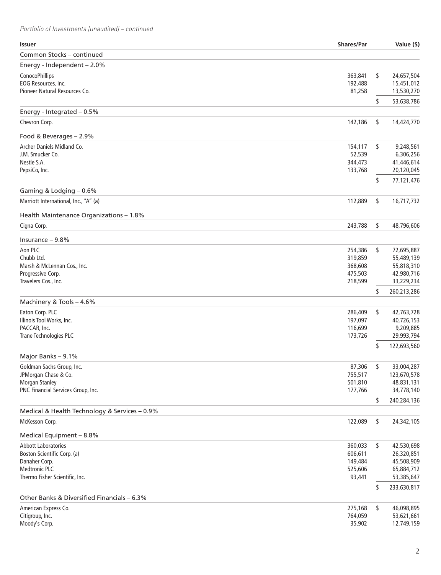## *Portfolio of Investments (unaudited) – continued*

| <b>Issuer</b>                                               | <b>Shares/Par</b>  | Value (\$)               |
|-------------------------------------------------------------|--------------------|--------------------------|
| Common Stocks - continued                                   |                    |                          |
| Energy - Independent - 2.0%                                 |                    |                          |
| ConocoPhillips                                              | 363,841            | \$<br>24,657,504         |
| EOG Resources, Inc.                                         | 192,488            | 15,451,012               |
| Pioneer Natural Resources Co.                               | 81,258             | 13,530,270               |
|                                                             |                    | \$<br>53,638,786         |
| Energy - Integrated - 0.5%                                  |                    |                          |
| Chevron Corp.                                               | 142,186            | \$<br>14,424,770         |
| Food & Beverages - 2.9%                                     |                    |                          |
| Archer Daniels Midland Co.                                  | 154,117            | \$<br>9,248,561          |
| J.M. Smucker Co.                                            | 52,539             | 6,306,256                |
| Nestle S.A.                                                 | 344,473            | 41,446,614               |
| PepsiCo, Inc.                                               | 133,768            | 20,120,045               |
|                                                             |                    | \$<br>77,121,476         |
| Gaming & Lodging - 0.6%                                     |                    |                          |
| Marriott International, Inc., "A" (a)                       | 112,889            | \$<br>16,717,732         |
| Health Maintenance Organizations - 1.8%                     |                    |                          |
| Cigna Corp.                                                 | 243,788            | \$<br>48,796,606         |
| Insurance $-9.8%$                                           |                    |                          |
| Aon PLC                                                     | 254,386            | \$<br>72,695,887         |
| Chubb Ltd.                                                  | 319,859            | 55,489,139               |
| Marsh & McLennan Cos., Inc.                                 | 368,608            | 55,818,310               |
| Progressive Corp.                                           | 475,503            | 42,980,716               |
| Travelers Cos., Inc.                                        | 218,599            | 33,229,234               |
| Machinery & Tools - 4.6%                                    |                    | \$<br>260,213,286        |
| Eaton Corp. PLC                                             | 286,409            | \$<br>42,763,728         |
| Illinois Tool Works, Inc.                                   | 197,097            | 40,726,153               |
| PACCAR, Inc.                                                | 116,699            | 9,209,885                |
| Trane Technologies PLC                                      | 173,726            | 29,993,794               |
|                                                             |                    | \$<br>122,693,560        |
| Major Banks - 9.1%                                          |                    |                          |
| Goldman Sachs Group, Inc.                                   | 87,306             | \$<br>33,004,287         |
| JPMorgan Chase & Co.                                        | 755,517            | 123,670,578              |
| <b>Morgan Stanley</b><br>PNC Financial Services Group, Inc. | 501,810<br>177,766 | 48,831,131<br>34,778,140 |
|                                                             |                    | \$<br>240,284,136        |
| Medical & Health Technology & Services - 0.9%               |                    |                          |
| McKesson Corp.                                              | 122,089            | \$<br>24,342,105         |
| Medical Equipment - 8.8%                                    |                    |                          |
| <b>Abbott Laboratories</b>                                  | 360,033            | \$<br>42,530,698         |
| Boston Scientific Corp. (a)                                 | 606,611            | 26,320,851               |
| Danaher Corp.                                               | 149,484            | 45,508,909               |
| <b>Medtronic PLC</b>                                        | 525,606            | 65,884,712               |
| Thermo Fisher Scientific, Inc.                              | 93,441             | 53,385,647               |
|                                                             |                    | \$<br>233,630,817        |
| Other Banks & Diversified Financials - 6.3%                 |                    |                          |
| American Express Co.                                        | 275,168            | \$<br>46,098,895         |
| Citigroup, Inc.<br>Moody's Corp.                            | 764,059            | 53,621,661<br>12,749,159 |
|                                                             | 35,902             |                          |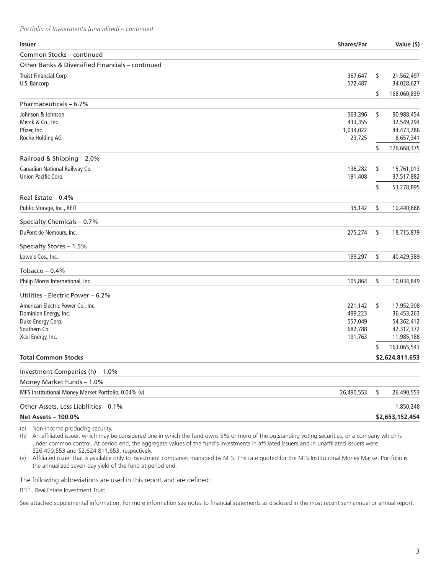*Portfolio of Investments (unaudited) – continued*

| <b>Issuer</b>                                       | <b>Shares/Par</b> | Value (\$)        |
|-----------------------------------------------------|-------------------|-------------------|
| Common Stocks - continued                           |                   |                   |
| Other Banks & Diversified Financials – continued    |                   |                   |
| Truist Financial Corp.                              | 367,647           | \$<br>21,562,497  |
| U.S. Bancorp                                        | 572,487           | 34,028,627        |
|                                                     |                   | \$<br>168,060,839 |
| Pharmaceuticals - 6.7%                              |                   |                   |
| Johnson & Johnson                                   | 563,396           | \$<br>90,988,454  |
| Merck & Co., Inc.                                   | 433,355           | 32,549,294        |
| Pfizer, Inc.                                        | 1,034,022         | 44,473,286        |
| Roche Holding AG                                    | 23,725            | 8,657,341         |
|                                                     |                   | \$<br>176,668,375 |
| Railroad & Shipping - 2.0%                          |                   |                   |
| Canadian National Railway Co.                       | 136,282           | \$<br>15,761,013  |
| Union Pacific Corp.                                 | 191,408           | 37,517,882        |
|                                                     |                   | \$<br>53,278,895  |
| Real Estate $-0.4%$                                 |                   |                   |
| Public Storage, Inc., REIT                          | 35,142            | \$<br>10,440,688  |
| Specialty Chemicals - 0.7%                          |                   |                   |
| DuPont de Nemours, Inc.                             | 275,274           | \$<br>18,715,879  |
| Specialty Stores - 1.5%                             |                   |                   |
| Lowe's Cos., Inc.                                   | 199,297           | \$<br>40,429,389  |
| Tobacco $-0.4%$                                     |                   |                   |
| Philip Morris International, Inc.                   | 105,864           | \$<br>10,034,849  |
| Utilities - Electric Power – 6.2%                   |                   |                   |
| American Electric Power Co., Inc.                   | 221,142           | \$<br>17,952,308  |
| Dominion Energy, Inc.                               | 499,223           | 36,453,263        |
| Duke Energy Corp.                                   | 557,049           | 54,362,412        |
| Southern Co.                                        | 682,788           | 42,312,372        |
| Xcel Energy, Inc.                                   | 191,763           | 11,985,188        |
|                                                     |                   | \$<br>163,065,543 |
| <b>Total Common Stocks</b>                          |                   | \$2,624,811,653   |
| Investment Companies (h) – 1.0%                     |                   |                   |
| Money Market Funds - 1.0%                           |                   |                   |
| MFS Institutional Money Market Portfolio, 0.04% (v) | 26,490,553        | \$<br>26,490,553  |
| Other Assets, Less Liabilities - 0.1%               |                   | 1,850,248         |
| <b>Net Assets - 100.0%</b>                          |                   | \$2.653.152.454   |

(a) Non-income producing security.

(h) An affiliated issuer, which may be considered one in which the fund owns 5% or more of the outstanding voting securities, or a company which is under common control. At period end, the aggregate values of the fund's investments in affiliated issuers and in unaffiliated issuers were \$26,490,553 and \$2,624,811,653, respectively.

(v) Affiliated issuer that is available only to investment companies managed by MFS. The rate quoted for the MFS Institutional Money Market Portfolio is the annualized seven-day yield of the fund at period end.

The following abbreviations are used in this report and are defined:

REIT Real Estate Investment Trust

See attached supplemental information. For more information see notes to financial statements as disclosed in the most recent semiannual or annual report.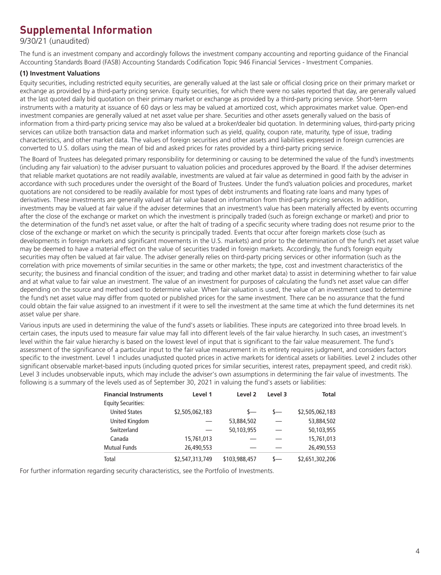## **Supplemental Information**

9/30/21 (unaudited)

The fund is an investment company and accordingly follows the investment company accounting and reporting guidance of the Financial Accounting Standards Board (FASB) Accounting Standards Codification Topic 946 Financial Services - Investment Companies.

### **(1) Investment Valuations**

Equity securities, including restricted equity securities, are generally valued at the last sale or official closing price on their primary market or exchange as provided by a third-party pricing service. Equity securities, for which there were no sales reported that day, are generally valued at the last quoted daily bid quotation on their primary market or exchange as provided by a third-party pricing service. Short-term instruments with a maturity at issuance of 60 days or less may be valued at amortized cost, which approximates market value. Open-end investment companies are generally valued at net asset value per share. Securities and other assets generally valued on the basis of information from a third-party pricing service may also be valued at a broker/dealer bid quotation. In determining values, third-party pricing services can utilize both transaction data and market information such as yield, quality, coupon rate, maturity, type of issue, trading characteristics, and other market data. The values of foreign securities and other assets and liabilities expressed in foreign currencies are converted to U.S. dollars using the mean of bid and asked prices for rates provided by a third-party pricing service.

The Board of Trustees has delegated primary responsibility for determining or causing to be determined the value of the fund's investments (including any fair valuation) to the adviser pursuant to valuation policies and procedures approved by the Board. If the adviser determines that reliable market quotations are not readily available, investments are valued at fair value as determined in good faith by the adviser in accordance with such procedures under the oversight of the Board of Trustees. Under the fund's valuation policies and procedures, market quotations are not considered to be readily available for most types of debt instruments and floating rate loans and many types of derivatives. These investments are generally valued at fair value based on information from third-party pricing services. In addition, investments may be valued at fair value if the adviser determines that an investment's value has been materially affected by events occurring after the close of the exchange or market on which the investment is principally traded (such as foreign exchange or market) and prior to the determination of the fund's net asset value, or after the halt of trading of a specific security where trading does not resume prior to the close of the exchange or market on which the security is principally traded. Events that occur after foreign markets close (such as developments in foreign markets and significant movements in the U.S. markets) and prior to the determination of the fund's net asset value may be deemed to have a material effect on the value of securities traded in foreign markets. Accordingly, the fund's foreign equity securities may often be valued at fair value. The adviser generally relies on third-party pricing services or other information (such as the correlation with price movements of similar securities in the same or other markets; the type, cost and investment characteristics of the security; the business and financial condition of the issuer; and trading and other market data) to assist in determining whether to fair value and at what value to fair value an investment. The value of an investment for purposes of calculating the fund's net asset value can differ depending on the source and method used to determine value. When fair valuation is used, the value of an investment used to determine the fund's net asset value may differ from quoted or published prices for the same investment. There can be no assurance that the fund could obtain the fair value assigned to an investment if it were to sell the investment at the same time at which the fund determines its net asset value per share.

Various inputs are used in determining the value of the fund's assets or liabilities. These inputs are categorized into three broad levels. In certain cases, the inputs used to measure fair value may fall into different levels of the fair value hierarchy. In such cases, an investment's level within the fair value hierarchy is based on the lowest level of input that is significant to the fair value measurement. The fund's assessment of the significance of a particular input to the fair value measurement in its entirety requires judgment, and considers factors specific to the investment. Level 1 includes unadjusted quoted prices in active markets for identical assets or liabilities. Level 2 includes other significant observable market-based inputs (including quoted prices for similar securities, interest rates, prepayment speed, and credit risk). Level 3 includes unobservable inputs, which may include the adviser's own assumptions in determining the fair value of investments. The following is a summary of the levels used as of September 30, 2021 in valuing the fund's assets or liabilities:

| <b>Financial Instruments</b> | Level 1         | Level <sub>2</sub> | Level 3       | <b>Total</b>    |
|------------------------------|-----------------|--------------------|---------------|-----------------|
| <b>Equity Securities:</b>    |                 |                    |               |                 |
| <b>United States</b>         | \$2,505,062,183 | $s-$               | $\mathsf{s}-$ | \$2,505,062,183 |
| United Kingdom               |                 | 53,884,502         |               | 53,884,502      |
| Switzerland                  |                 | 50.103.955         |               | 50,103,955      |
| Canada                       | 15,761,013      |                    |               | 15,761,013      |
| <b>Mutual Funds</b>          | 26,490,553      |                    |               | 26,490,553      |
| Total                        | \$2,547,313,749 | \$103,988,457      |               | \$2,651,302,206 |

For further information regarding security characteristics, see the Portfolio of Investments.